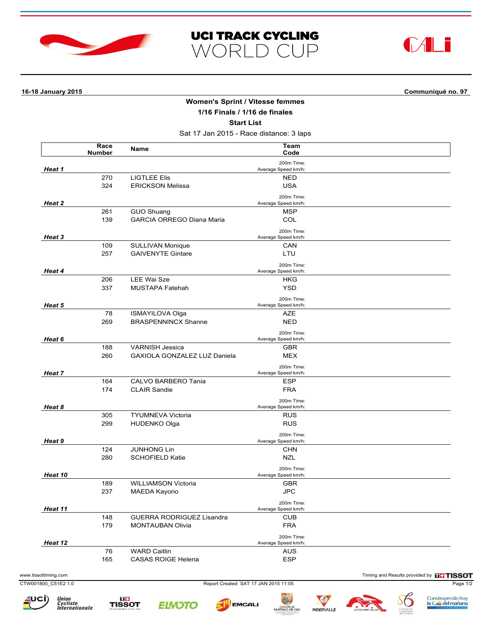





**16-18 January 2015 Communiqué no. 97**

## **Women's Sprint / Vitesse femmes**

**1/16 Finals / 1/16 de finales**

**Start List**

Sat 17 Jan 2015 - Race distance: 3 laps

|                  | Race<br><b>Number</b> | Name                             | Team<br>Code                      |  |
|------------------|-----------------------|----------------------------------|-----------------------------------|--|
| Heat 1           |                       |                                  | 200m Time:<br>Average Speed km/h: |  |
|                  | 270                   | <b>LIGTLEE Elis</b>              | <b>NED</b>                        |  |
|                  | 324                   | <b>ERICKSON Melissa</b>          | <b>USA</b>                        |  |
| Heat 2           |                       |                                  | 200m Time:<br>Average Speed km/h: |  |
|                  | 261                   | <b>GUO Shuang</b>                | <b>MSP</b>                        |  |
|                  | 139                   | <b>GARCIA ORREGO Diana Maria</b> | COL                               |  |
| Heat 3           |                       |                                  | 200m Time:                        |  |
|                  |                       |                                  | Average Speed km/h:               |  |
|                  | 109                   | SULLIVAN Monique                 | CAN                               |  |
|                  | 257                   | <b>GAIVENYTE Gintare</b>         | LTU                               |  |
| Heat 4           |                       |                                  | 200m Time:<br>Average Speed km/h: |  |
|                  | 206                   | LEE Wai Sze                      | HKG                               |  |
|                  | 337                   | MUSTAPA Fatehah                  | <b>YSD</b>                        |  |
| Heat 5           |                       |                                  | 200m Time:                        |  |
|                  |                       |                                  | Average Speed km/h:               |  |
|                  | 78                    | <b>ISMAYILOVA Olga</b>           | AZE                               |  |
|                  | 269                   | <b>BRASPENNINCX Shanne</b>       | <b>NED</b>                        |  |
| Heat 6<br>Heat 7 |                       |                                  | 200m Time:<br>Average Speed km/h: |  |
|                  | 188                   | <b>VARNISH Jessica</b>           | <b>GBR</b>                        |  |
|                  | 260                   | GAXIOLA GONZALEZ LUZ Daniela     | <b>MEX</b>                        |  |
|                  |                       |                                  | 200m Time:<br>Average Speed km/h: |  |
|                  | 164                   | CALVO BARBERO Tania              | <b>ESP</b>                        |  |
|                  | 174                   | <b>CLAIR Sandie</b>              | <b>FRA</b>                        |  |
|                  |                       |                                  | 200m Time:                        |  |
| Heat 8           |                       |                                  | Average Speed km/h:               |  |
|                  | 305                   | <b>TYUMNEVA Victoria</b>         | <b>RUS</b>                        |  |
|                  | 299                   | <b>HUDENKO Olga</b>              | <b>RUS</b>                        |  |
|                  |                       |                                  | 200m Time:                        |  |
| Heat 9           |                       |                                  | Average Speed km/h:               |  |
|                  | 124                   | <b>JUNHONG Lin</b>               | <b>CHN</b>                        |  |
|                  | 280                   | <b>SCHOFIELD Katie</b>           | <b>NZL</b>                        |  |
| Heat 10          |                       |                                  | 200m Time:<br>Average Speed km/h: |  |
|                  | 189                   | <b>WILLIAMSON Victoria</b>       | <b>GBR</b>                        |  |
|                  | 237                   | MAEDA Kayono                     | <b>JPC</b>                        |  |
|                  |                       |                                  | 200m Time:                        |  |
| Heat 11          |                       |                                  | Average Speed km/h:               |  |
|                  | 148                   | <b>GUERRA RODRIGUEZ Lisandra</b> | <b>CUB</b>                        |  |
|                  | 179                   | <b>MONTAUBAN Olivia</b>          | <b>FRA</b>                        |  |
| Heat 12          |                       |                                  | 200m Time:<br>Average Speed km/h: |  |
|                  | 76                    | <b>WARD Caitlin</b>              | <b>AUS</b>                        |  |
|                  | 165                   | CASAS ROIGE Helena               | <b>ESP</b>                        |  |
|                  |                       |                                  |                                   |  |

CTW001800\_C51E2 1.0 Report Created SAT 17 JAN 2015 11:05 Page 1/2